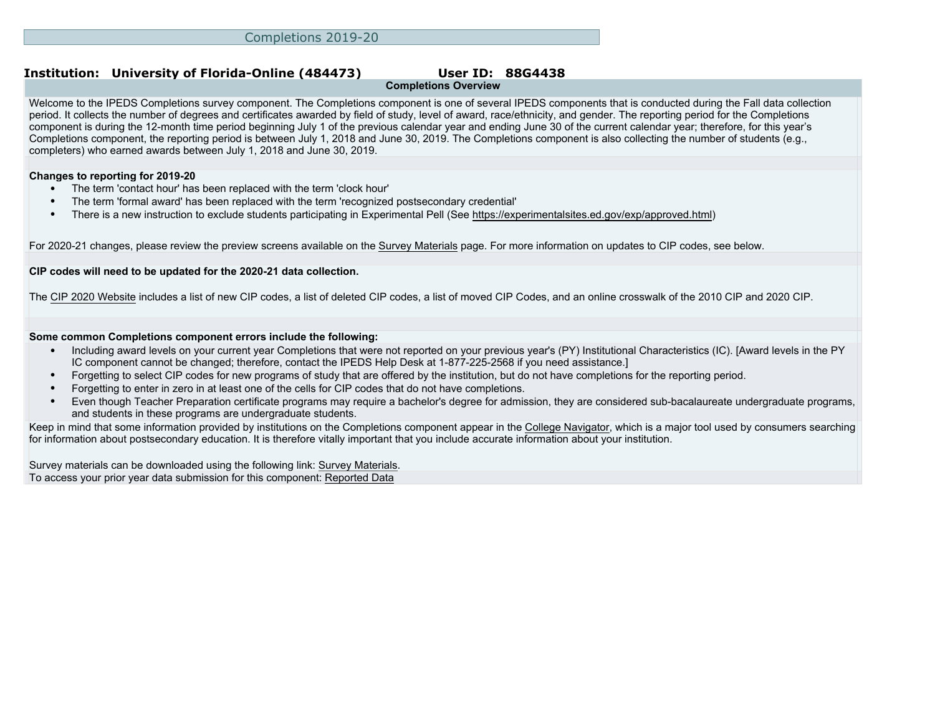# **Completions Overview**

Welcome to the IPEDS Completions survey component. The Completions component is one of several IPEDS components that is conducted during the Fall data collection period. It collects the number of degrees and certificates awarded by field of study, level of award, race/ethnicity, and gender. The reporting period for the Completions component is during the 12-month time period beginning July 1 of the previous calendar year and ending June 30 of the current calendar year; therefore, for this year's Completions component, the reporting period is between July 1, 2018 and June 30, 2019. The Completions component is also collecting the number of students (e.g., completers) who earned awards between July 1, 2018 and June 30, 2019.

#### **Changes to reporting for 2019-20**

- The term 'contact hour' has been replaced with the term 'clock hour'
- The term 'formal award' has been replaced with the term 'recognized postsecondary credential'
- There is a new instruction to exclude students participating in Experimental Pell (See<https://experimentalsites.ed.gov/exp/approved.html>)

For 2020-21 changes, please review the preview screens available on the [Survey Materials](https://surveys.nces.ed.gov/ipeds/VisIndex.aspx) page. For more information on updates to CIP codes, see below.

#### **CIP codes will need to be updated for the 2020-21 data collection.**

The [CIP 2020 Website](https://nces.ed.gov/ipeds/cipcode/Default.aspx?y=55) includes a list of new CIP codes, a list of deleted CIP codes, a list of moved CIP Codes, and an online crosswalk of the 2010 CIP and 2020 CIP.

#### **Some common Completions component errors include the following:**

- Including award levels on your current year Completions that were not reported on your previous year's (PY) Institutional Characteristics (IC). [Award levels in the PY IC component cannot be changed; therefore, contact the IPEDS Help Desk at 1-877-225-2568 if you need assistance.]
- Forgetting to select CIP codes for new programs of study that are offered by the institution, but do not have completions for the reporting period.
- Forgetting to enter in zero in at least one of the cells for CIP codes that do not have completions.
- Even though Teacher Preparation certificate programs may require a bachelor's degree for admission, they are considered sub-bacalaureate undergraduate programs, and students in these programs are undergraduate students.

Keep in mind that some information provided by institutions on the Completions component appear in the [College Navigator](http://collegenavigator.ed.gov), which is a major tool used by consumers searching for information about postsecondary education. It is therefore vitally important that you include accurate information about your institution.

Survey materials can be downloaded using the following link: [Survey Materials.](https://surveys.nces.ed.gov/ipeds/VisIndex.aspx) To access your prior year data submission for this component: [Reported Data](http://192.168.102.89/ipeds/PriorYearDataRedirect.aspx?survey_id=10)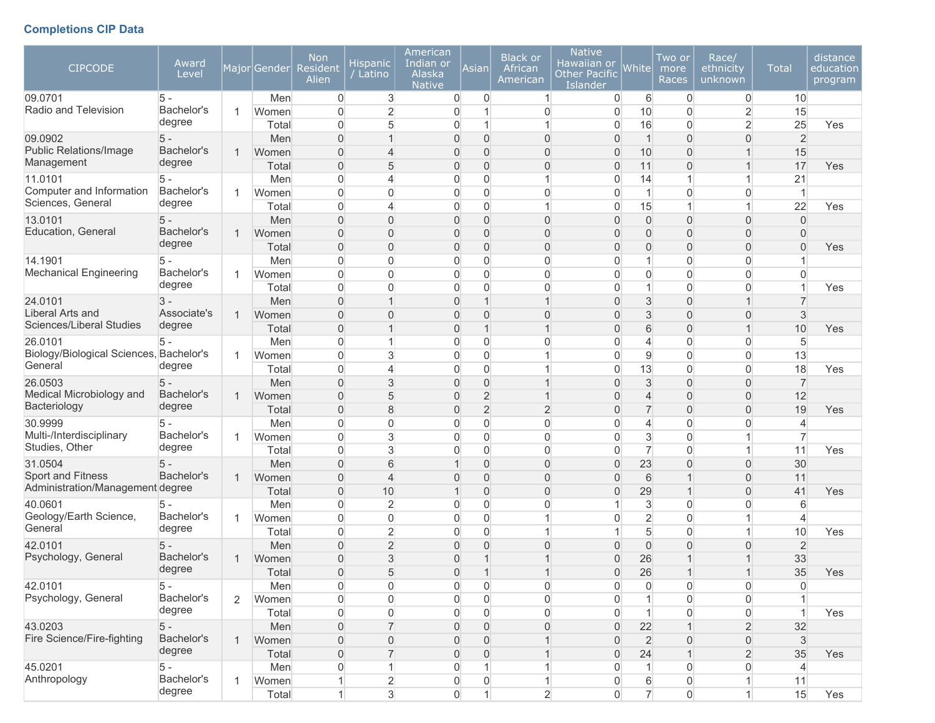# **Completions CIP Data**

| <b>CIPCODE</b>                          | Award<br>Level |                | Major Gender | <b>Non</b><br><b>Resident</b><br>Alien | <b>Hispanic</b><br>$\sqrt{}$ Latino | American<br>Indian or<br>Alaska<br><b>Native</b> | Asian               | <b>Black or</b><br>African<br>American | <b>Native</b><br>Hawaiian or<br><b>Other Pacific</b><br>Islander | White          | Two or<br>more<br>Races | Race/<br>ethnicity<br>unknown | <b>Total</b>              | distance<br>education<br>program |
|-----------------------------------------|----------------|----------------|--------------|----------------------------------------|-------------------------------------|--------------------------------------------------|---------------------|----------------------------------------|------------------------------------------------------------------|----------------|-------------------------|-------------------------------|---------------------------|----------------------------------|
| 09.0701                                 | 5 -            |                | Men          | 0                                      | 3                                   | 0                                                | 0                   | 1                                      | 0                                                                | 6              | 0                       | $\overline{0}$                | 10                        |                                  |
| Radio and Television                    | Bachelor's     | 1              | Women        | $\overline{0}$                         | $\overline{2}$                      | 0                                                | 1                   | 0                                      | $\overline{0}$                                                   | 10             | 0                       | $\overline{2}$                | 15                        |                                  |
|                                         | degree         |                | Total        | 0                                      | 5                                   | 0                                                | 1                   |                                        | $\overline{0}$                                                   | 16             | 0                       | $\overline{2}$                | 25                        | Yes                              |
| 09.0902                                 | $5 -$          |                | Men          | $\mathbf{0}$                           | $\mathbf{1}$                        | 0                                                | $\overline{0}$      | $\mathbf 0$                            | $\overline{0}$                                                   | $\mathbf{1}$   | $\overline{0}$          | 0                             | $\overline{2}$            |                                  |
| <b>Public Relations/Image</b>           | Bachelor's     | 1              | Women        | $\Omega$                               | 4                                   | 0                                                | $\Omega$            | $\overline{0}$                         | $\overline{0}$                                                   | 10             | $\Omega$                | 1                             | 15                        |                                  |
| Management                              | degree         |                | Total        | $\overline{0}$                         | 5                                   | 0                                                | $\overline{0}$      | $\mathbf 0$                            | $\mathbf{0}$                                                     | 11             | 0                       | $\mathbf 1$                   | 17                        | Yes                              |
| 11.0101                                 | $5 -$          |                | Men          | 0                                      | 4                                   | 0                                                | $\boldsymbol{0}$    | 1                                      | 0                                                                | 14             | 1                       | 1                             | 21                        |                                  |
| Computer and Information                | Bachelor's     | 1              | Women        | $\overline{0}$                         | 0                                   | 0                                                | $\overline{0}$      | 0                                      | $\overline{0}$                                                   | $\mathbf{1}$   | 0                       | $\mathbf 0$                   | $\mathbf 1$               |                                  |
| Sciences, General                       | degree         |                | Total        | $\overline{0}$                         | 4                                   | 0                                                | $\overline{0}$      | 1                                      | $\overline{0}$                                                   | 15             | 1                       | $\mathbf{1}$                  | 22                        | Yes                              |
| 13.0101                                 | $5 -$          |                | Men          | $\overline{0}$                         | 0                                   | 0                                                | $\overline{0}$      | 0                                      | $\overline{0}$                                                   | $\mathbf 0$    | 0                       | $\overline{0}$                | $\Omega$                  |                                  |
| Education, General                      | Bachelor's     | 1              | Women        | $\overline{0}$                         | $\overline{0}$                      | 0                                                | $\overline{0}$      | $\overline{0}$                         | $\Omega$                                                         | $\Omega$       | $\Omega$                | 0                             | $\Omega$                  |                                  |
|                                         | degree         |                | Total        | $\overline{0}$                         | 0                                   | 0                                                | $\boldsymbol{0}$    | 0                                      | $\overline{0}$                                                   | 0              | 0                       | 0                             | $\overline{0}$            | Yes                              |
| 14.1901                                 | $5 -$          |                | Men          | 0                                      | 0                                   | 0                                                | $\boldsymbol{0}$    | 0                                      | 0                                                                | $\mathbf{1}$   | 0                       | $\boldsymbol{0}$              |                           |                                  |
| <b>Mechanical Engineering</b>           | Bachelor's     | 1              | Women        | $\overline{0}$                         | 0                                   | 0                                                | $\overline{0}$      | 0                                      | 0                                                                | $\overline{0}$ | 0                       | $\overline{0}$                | 0                         |                                  |
|                                         | degree         |                | Total        | $\overline{0}$                         | 0                                   | 0                                                | $\overline{0}$      | 0                                      | 0                                                                | 1              | 0                       | $\overline{0}$                |                           | Yes                              |
| 24.0101                                 | $3 -$          |                | Men          | $\overline{0}$                         | $\mathbf{1}$                        | 0                                                | $\mathbf 1$         |                                        | $\Omega$                                                         | 3              | $\overline{0}$          | 1                             | 7                         |                                  |
| Liberal Arts and                        | Associate's    |                | Women        | $\Omega$                               | $\overline{0}$                      | 0                                                | $\Omega$            | $\overline{0}$                         | $\Omega$                                                         | 3              | $\Omega$                | 0                             | 3                         |                                  |
| Sciences/Liberal Studies                | degree         |                | Total        | $\overline{0}$                         | $\mathbf{1}$                        | 0                                                | $\mathbf{1}$        | 1                                      | $\overline{0}$                                                   | 6              | 0                       | $\mathbf{1}$                  | 10                        | Yes                              |
| 26.0101                                 | 5              |                | Men          | 0                                      | $\mathbf 1$                         | 0                                                | $\overline{0}$      | 0                                      | 0                                                                | 4              | 0                       | $\mathbf 0$                   | 5                         |                                  |
| Biology/Biological Sciences, Bachelor's |                | 1.             | Women        | $\overline{0}$                         | 3                                   | 0                                                | $\overline{0}$      |                                        | 0                                                                | 9              | 0                       | $\overline{0}$                | 13                        |                                  |
| General                                 | degree         |                | Total        | $\overline{0}$                         | 4                                   | 0                                                | $\overline{0}$      |                                        | $\overline{0}$                                                   | 13             | $\Omega$                | $\overline{0}$                | 18                        | Yes                              |
| 26.0503                                 | $5 -$          |                | Men          | $\Omega$                               | 3                                   | 0                                                | $\overline{0}$      | 1                                      | $\Omega$                                                         | 3              | $\overline{0}$          | $\overline{0}$                | $\overline{7}$            |                                  |
| Medical Microbiology and                | Bachelor's     | 1              | Women        | $\mathbf{0}$                           | 5                                   | 0                                                | $\overline{2}$      |                                        | $\Omega$                                                         | $\overline{4}$ | $\overline{0}$          | $\overline{0}$                | 12                        |                                  |
| Bacteriology                            | degree         |                | Total        | $\boldsymbol{0}$                       | 8                                   | 0                                                | $\overline{2}$      | $\overline{c}$                         | $\overline{0}$                                                   | $\overline{7}$ | 0                       | 0                             | 19                        | Yes                              |
| 30.9999                                 | $5 -$          |                | Men          | 0                                      | 0                                   | 0                                                | $\overline{0}$      | 0                                      | 0                                                                | 4              | 0                       | $\boldsymbol{0}$              | 4                         |                                  |
| Multi-/Interdisciplinary                | Bachelor's     |                | Women        | $\overline{0}$                         | 3                                   | 0                                                | $\overline{0}$      | 0                                      | 0                                                                | 3              | 0                       | 1                             | $\overline{7}$            |                                  |
| Studies, Other                          | degree         |                | Total        | $\overline{0}$                         | 3                                   | 0                                                | $\mathbf 0$         | 0                                      | 0                                                                | $\overline{7}$ | 0                       | 1                             | 11                        | Yes                              |
| 31.0504                                 | $5 -$          |                | Men          | $\overline{0}$                         | 6                                   |                                                  | $\overline{0}$      | $\overline{0}$                         | $\Omega$                                                         | 23             | $\Omega$                | 0                             | 30                        |                                  |
| Sport and Fitness                       | Bachelor's     | 1              | Women        | $\mathbf{0}$                           | $\overline{4}$                      | 0                                                | $\mathbf{0}$        | $\overline{0}$                         | $\overline{0}$                                                   | 6              | 1                       | $\overline{0}$                | 11                        |                                  |
| Administration/Management degree        |                |                | Total        | $\boldsymbol{0}$                       | 10                                  | $\mathbf 1$                                      | $\mathbf 0$         | $\mathbf 0$                            | $\overline{0}$                                                   | 29             | $\mathbf 1$             | $\overline{0}$                | 41                        | Yes                              |
| 40.0601                                 | 5 -            |                | Men          | 0                                      | $\overline{c}$                      | 0                                                | $\mathbf 0$         | $\overline{0}$                         |                                                                  | 3              | 0                       | $\mathbf 0$                   | 6                         |                                  |
| Geology/Earth Science,                  | Bachelor's     | $\mathbf{1}$   | Women        | $\overline{0}$                         | 0                                   | 0                                                | $\overline{0}$      | 1                                      | 0                                                                | $\overline{c}$ | $\Omega$                | 1                             | 4                         |                                  |
| General                                 | degree         |                | Total        | $\overline{0}$                         | $\overline{2}$                      | 0                                                | $\overline{0}$      |                                        |                                                                  | 5              | 0                       | 1                             | 10                        | Yes                              |
| 42.0101                                 | $5 -$          |                | Men          | $\overline{0}$                         | $\overline{2}$                      | 0                                                | $\Omega$            | $\overline{0}$                         | $\Omega$                                                         | $\overline{0}$ | $\Omega$                | $\overline{0}$                | $\overline{2}$            |                                  |
| Psychology, General                     | Bachelor's     | 1              | Women        | $\overline{0}$                         | 3                                   | 0                                                |                     |                                        | $\Omega$                                                         | 26             |                         |                               | 33                        |                                  |
|                                         | degree         |                | Total        | $\Omega$                               | 5                                   | $\overline{0}$                                   |                     |                                        | $\Omega$                                                         | 26             |                         |                               | 35                        | Yes                              |
| 42.0101                                 | 5 -            |                | Men          | 0                                      | 0                                   | 0                                                | $\overline{0}$      | 0                                      | $\boldsymbol{0}$                                                 | 0              | 0                       | $\overline{0}$                | 0                         |                                  |
| Psychology, General                     | Bachelor's     | $\overline{2}$ | Women        | 0                                      | $\mathsf{O}\xspace$                 | 0                                                | $\mathsf{O}\xspace$ | 0                                      | $\boldsymbol{0}$                                                 | $\mathbf{1}$   | 0                       | $\boldsymbol{0}$              |                           |                                  |
|                                         | degree         |                | Total        | 0                                      | 0                                   | 0                                                | $\mathsf{O}\xspace$ | 0                                      | $\overline{0}$                                                   | $\mathbf{1}$   | 0                       | $\boldsymbol{0}$              | $\overline{1}$            | Yes                              |
| 43.0203                                 | $5 -$          |                | Men          | $\boldsymbol{0}$                       | $\overline{7}$                      | 0                                                | $\mathbf 0$         | $\mathbf 0$                            | $\overline{0}$                                                   | 22             |                         | $\overline{c}$                | 32                        |                                  |
| Fire Science/Fire-fighting              | Bachelor's     | $\mathbf{1}$   | Women        | $\mathbf 0$                            | 0                                   | 0                                                | $\mathbf 0$         |                                        | $\mathbf{0}$                                                     | $\overline{2}$ | 0                       | $\mathsf{O}\xspace$           | $\ensuremath{\mathsf{3}}$ |                                  |
|                                         | degree         |                | Total        | $\boldsymbol{0}$                       | $\overline{7}$                      | 0                                                | $\mathsf{O}\xspace$ | 1                                      | $\overline{0}$                                                   | 24             | $\mathbf{1}$            | $\sqrt{2}$                    | 35                        | Yes                              |
| 45.0201                                 | $5 -$          |                | Men          | 0                                      | $\mathbf{1}$                        | 0                                                | 1                   | 1                                      | $\mathbf{0}$                                                     | $\mathbf{1}$   | 0                       | $\overline{0}$                | 4                         |                                  |
| Anthropology                            | Bachelor's     | 1.             | Women        | $\mathbf{1}$                           | $\overline{c}$                      | 0                                                | $\boldsymbol{0}$    | 1                                      | 0                                                                | 6              | 0                       | $\mathbf{1}$                  | 11                        |                                  |
|                                         | degree         |                | Total        | 1                                      | 3                                   | $\mathsf{O}\xspace$                              | $\mathbf{1}$        | $\overline{2}$                         | 0                                                                | $\overline{7}$ | $\boldsymbol{0}$        | $\mathbf{1}$                  | 15                        | Yes                              |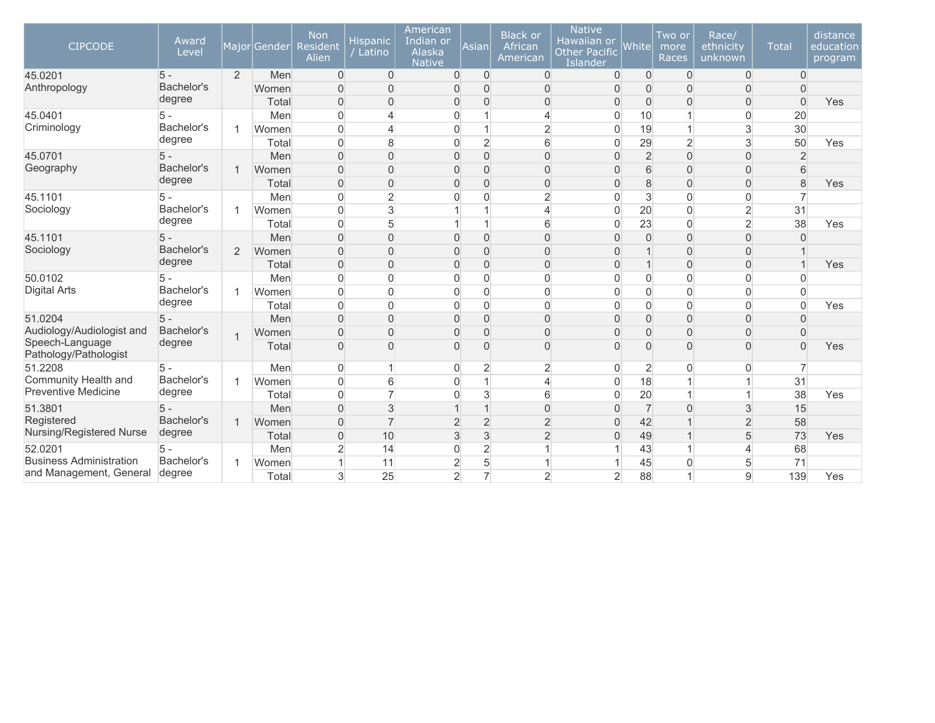| <b>CIPCODE</b>                               | Award<br>Level       |                | Major Gender | <b>Non</b><br>Resident<br>Alien | <b>Hispanic</b><br>Latino | American<br>Indian or<br>Alaska<br><b>Native</b> | Asian          | <b>Black or</b><br>African<br>American | <b>Native</b><br>Hawaiian or<br><b>Other Pacific</b><br>Islander | White          | Two or<br>more<br>Races | Race/<br>ethnicity<br>unknown | <b>Total</b>   | distance<br>education<br>program |
|----------------------------------------------|----------------------|----------------|--------------|---------------------------------|---------------------------|--------------------------------------------------|----------------|----------------------------------------|------------------------------------------------------------------|----------------|-------------------------|-------------------------------|----------------|----------------------------------|
| 45.0201                                      | $5 -$                | $\overline{2}$ | Men          | $\overline{0}$                  | $\mathbf 0$               | $\mathbf 0$                                      | $\mathbf 0$    | $\overline{0}$                         | $\Omega$                                                         | $\mathbf 0$    | 0                       | $\overline{0}$                | $\overline{0}$ |                                  |
| Anthropology                                 | Bachelor's           |                | Women        | 0                               | $\overline{0}$            | 0                                                | $\Omega$       | $\mathbf{0}$                           | $\Omega$                                                         | $\Omega$       | $\Omega$                | 0                             | $\overline{0}$ |                                  |
|                                              | degree               |                | Total        | $\overline{0}$                  | $\mathbf 0$               | $\overline{0}$                                   | $\Omega$       | $\overline{0}$                         | $\Omega$                                                         | $\overline{0}$ | 0                       | $\overline{0}$                | $\overline{0}$ | Yes                              |
| 45.0401                                      | $5 -$                |                | Men          | 0                               | $\overline{4}$            | $\overline{0}$                                   |                | $\overline{4}$                         | 0                                                                | 10             |                         | 0                             | 20             |                                  |
| Criminology                                  | Bachelor's           | 1              | Women        | $\overline{0}$                  | 4                         | $\overline{0}$                                   |                | $\overline{2}$                         | $\Omega$                                                         | 19             |                         | 3                             | 30             |                                  |
|                                              | degree               |                | Total        | $\Omega$                        | 8                         | $\overline{0}$                                   | $\overline{2}$ | 6                                      | $\Omega$                                                         | 29             | $\overline{2}$          | 3                             | 50             | Yes                              |
| 45.0701                                      | $5 -$                |                | Men          | $\overline{0}$                  | $\overline{0}$            | $\mathbf{0}$                                     | $\Omega$       | $\overline{0}$                         | $\Omega$                                                         | $\overline{2}$ | $\Omega$                | $\overline{0}$                | $\overline{2}$ |                                  |
| Geography                                    | Bachelor's           | $\mathbf{1}$   | Women        | $\overline{0}$                  | $\mathbf 0$               | $\boldsymbol{0}$                                 | $\overline{0}$ | $\mathbf 0$                            | $\Omega$                                                         | 6              | $\Omega$                | $\overline{0}$                | 6              |                                  |
|                                              | degree               |                | Total        | 0                               | $\overline{0}$            | $\mathbf{0}$                                     | $\mathbf{0}$   | $\overline{0}$                         | $\Omega$                                                         | 8              | $\Omega$                | 0                             | 8              | Yes                              |
| 45.1101                                      | $5 -$                |                | Men          | 0                               | $\overline{2}$            | $\overline{0}$                                   | $\overline{0}$ | $\overline{2}$                         | $\Omega$                                                         | 3              | $\overline{0}$          | $\overline{0}$                |                |                                  |
| Sociology                                    | Bachelor's           | 1.             | Women        | $\overline{0}$                  | 3                         |                                                  |                | $\overline{4}$                         | $\Omega$                                                         | 20             | $\overline{0}$          | $\overline{2}$                | 31             |                                  |
|                                              | degree               |                | Total        | $\overline{0}$                  | $5\overline{)}$           | 1                                                | 1              | 6                                      | $\overline{0}$                                                   | 23             | 0                       | $\overline{2}$                | 38             | Yes                              |
| 45.1101                                      | $5 -$                |                | Men          | 0                               | $\mathbf 0$               | $\mathbf{0}$                                     | $\overline{0}$ | $\overline{0}$                         | $\Omega$                                                         | $\mathbf 0$    | $\overline{0}$          | $\mathbf{0}$                  | $\Omega$       |                                  |
| Sociology                                    | Bachelor's           | $\overline{2}$ | Women        | $\Omega$                        | $\overline{0}$            | 0                                                | $\Omega$       | $\mathbf{0}$                           | $\Omega$                                                         |                | $\Omega$                | $\Omega$                      |                |                                  |
|                                              | degree               |                | Total        | 0                               | $\overline{0}$            | $\mathbf{0}$                                     | $\Omega$       | $\mathbf{0}$                           | $\Omega$                                                         |                | $\Omega$                | 0                             |                | Yes                              |
| 50.0102                                      | $5 -$                |                | Men          | 0                               | $\mathbf 0$               | $\overline{0}$                                   | $\overline{0}$ | $\mathbf{0}$                           | $\overline{0}$                                                   | $\Omega$       | $\overline{0}$          | 0                             | $\Omega$       |                                  |
| <b>Digital Arts</b>                          | Bachelor's           | 1              | Women        | 0                               | $\mathbf 0$               | $\boldsymbol{0}$                                 | $\overline{0}$ | $\mathbf 0$                            | $\overline{0}$                                                   | $\overline{0}$ | 0                       | 0                             | $\overline{0}$ |                                  |
|                                              | degree               |                | Total        | 0                               | $\overline{0}$            | $\overline{0}$                                   | $\overline{0}$ | $\mathbf 0$                            | $\Omega$                                                         | $\mathbf 0$    | $\overline{0}$          | $\overline{0}$                | $\overline{0}$ | Yes                              |
| 51.0204                                      | $5 -$                |                | Men          | $\Omega$                        | $\Omega$                  | $\Omega$                                         | $\Omega$       | $\overline{0}$                         | $\Omega$                                                         | $\Omega$       | $\overline{0}$          | $\Omega$                      | $\Omega$       |                                  |
| Audiology/Audiologist and<br>Speech-Language | Bachelor's<br>degree | $\overline{1}$ | Women        | $\overline{0}$                  | $\overline{0}$            | $\overline{0}$                                   | $\overline{0}$ | $\overline{0}$                         | $\Omega$                                                         | $\overline{0}$ | $\overline{0}$          | $\overline{0}$                | $\Omega$       |                                  |
| Pathology/Pathologist                        |                      |                | Total        | $\Omega$                        | $\Omega$                  | $\Omega$                                         | $\Omega$       | $\Omega$                               | $\Omega$                                                         | $\Omega$       | U                       | $\Omega$                      | $\Omega$       | Yes                              |
| 51.2208                                      | $5 -$                |                | Men          | $\overline{0}$                  |                           | 0                                                | 2              | $\overline{2}$                         | $\Omega$                                                         | $\overline{2}$ | $\Omega$                | 0                             |                |                                  |
| Community Health and                         | Bachelor's           | 1              | Women        | 0                               | 6                         | $\overline{0}$                                   |                | $\overline{4}$                         | $\Omega$                                                         | 18             |                         |                               | 31             |                                  |
| <b>Preventive Medicine</b>                   | degree               |                | Total        | 0                               | $\overline{7}$            | 0                                                | 3              | 6                                      | $\Omega$                                                         | 20             |                         | 1                             | 38             | Yes                              |
| 51.3801                                      | $5 -$                |                | Men          | $\overline{0}$                  | 3                         |                                                  | $\overline{1}$ | $\overline{0}$                         | $\Omega$                                                         | $\overline{7}$ | $\overline{0}$          | 3                             | 15             |                                  |
| Registered                                   | Bachelor's           | 1              | Women        | $\overline{0}$                  | $\overline{7}$            | $\overline{2}$                                   | $\overline{2}$ | $\overline{2}$                         | $\Omega$                                                         | 42             |                         | $\overline{2}$                | 58             |                                  |
| Nursing/Registered Nurse                     | degree               |                | Total        | $\overline{0}$                  | 10                        | 3                                                | 3              | $\overline{2}$                         | $\Omega$                                                         | 49             |                         | 5                             | 73             | Yes                              |
| 52.0201                                      | $5 -$                |                | Men          | $\overline{c}$                  | 14                        | $\boldsymbol{0}$                                 | $\overline{2}$ |                                        |                                                                  | 43             |                         | 4                             | 68             |                                  |
| <b>Business Administration</b>               | Bachelor's           | 1              | Women        | 1                               | 11                        | $\overline{c}$                                   | 5              |                                        |                                                                  | 45             | O                       | 5                             | 71             |                                  |
| and Management, General                      | degree               |                | Total        | 3                               | 25                        | $\overline{2}$                                   | $\overline{7}$ | $\overline{2}$                         | $\overline{2}$                                                   | 88             |                         | 9                             | 139            | Yes                              |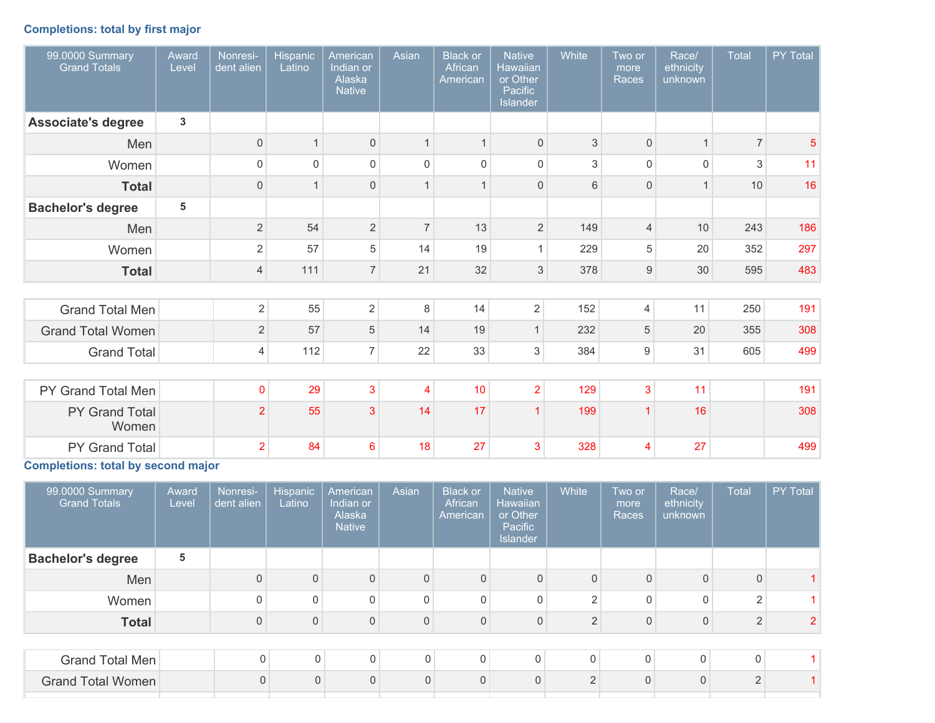# **Completions: total by first major**

| 99.0000 Summary<br><b>Grand Totals</b> | Award<br>Level | Nonresi-<br>dent alien | <b>Hispanic</b><br>Latino | American<br>Indian or<br>Alaska<br><b>Native</b> | Asian          | <b>Black or</b><br>African<br>Ame <u>rican</u> | <b>Native</b><br><b>Hawaiian</b><br>or Other<br>Pacific<br>Islander | White | Two or<br>more<br>Races | Race/<br>ethnicity<br>unknown | Total          | PY Total       |
|----------------------------------------|----------------|------------------------|---------------------------|--------------------------------------------------|----------------|------------------------------------------------|---------------------------------------------------------------------|-------|-------------------------|-------------------------------|----------------|----------------|
| <b>Associate's degree</b>              | $\mathbf{3}$   |                        |                           |                                                  |                |                                                |                                                                     |       |                         |                               |                |                |
| Men                                    |                | $\mathbf 0$            | $\mathbf{1}$              | $\mathsf{O}\xspace$                              |                |                                                | $\mathbf 0$                                                         | 3     | $\mathbf 0$             |                               | 7 <sup>1</sup> | $\overline{5}$ |
| Women                                  |                | $\mathsf 0$            | $\Omega$                  | $\Omega$                                         | $\Omega$       | $\Omega$                                       | $\mathbf 0$                                                         | 3     | $\Omega$                | $\Omega$                      | 3              | 11             |
| <b>Total</b>                           |                | $\mathbf{0}$           | $\overline{1}$            | $\Omega$                                         |                |                                                | $\mathbf{0}$                                                        | 6     | $\overline{0}$          |                               | 10             | 16             |
| <b>Bachelor's degree</b>               | 5              |                        |                           |                                                  |                |                                                |                                                                     |       |                         |                               |                |                |
| Men                                    |                | $\overline{2}$         | 54                        | $\overline{2}$                                   | $\overline{7}$ | 13                                             | $\overline{2}$                                                      | 149   | $\overline{4}$          | 10                            | 243            | 186            |
| Women                                  |                | $\overline{2}$         | 57                        | 5                                                | 14             | 19                                             | $\mathbf{1}$                                                        | 229   | 5                       | 20                            | 352            | 297            |
| <b>Total</b>                           |                | $\overline{4}$         | 111                       | $\overline{7}$                                   | 21             | 32                                             | 3                                                                   | 378   | 9                       | 30                            | 595            | 483            |
|                                        |                |                        |                           |                                                  |                |                                                |                                                                     |       |                         |                               |                |                |
| <b>Grand Total Men</b>                 |                | $\overline{2}$         | 55                        | $\overline{2}$                                   | 8              | 14                                             | $\overline{2}$                                                      | 152   | $\overline{4}$          | 11                            | 250            | 191            |
| <b>Grand Total Women</b>               |                | $\overline{2}$         | 57                        | 5                                                | 14             | 19                                             | $\mathbf{1}$                                                        | 232   | 5                       | 20                            | 355            | 308            |
| <b>Grand Total</b>                     |                | $\overline{4}$         | 112                       | $\overline{7}$                                   | 22             | 33                                             | 3                                                                   | 384   | $9\,$                   | 31                            | 605            | 499            |
|                                        |                |                        |                           |                                                  |                |                                                |                                                                     |       |                         |                               |                |                |
| PY Grand Total Men                     |                | $\mathbf 0$            | 29                        | $\mathbf{3}$                                     | 4              | 10                                             | $\overline{2}$                                                      | 129   | 3                       | 11                            |                | 191            |
| PY Grand Total<br>Women                |                | $\overline{2}$         | 55                        | 3                                                | 14             | 17                                             | $\overline{1}$                                                      | 199   | 1                       | 16                            |                | 308            |
| PY Grand Total                         |                | $\overline{2}$         | 84                        | 6                                                | 18             | 27                                             | 3                                                                   | 328   | 4                       | 27                            |                | 499            |

**Completions: total by second major**

| 99.0000 Summary<br><b>Grand Totals</b> | Award<br>Level | Nonresi-<br>dent alien | <b>Hispanic</b><br>Latino | American<br>Indian or<br>Alaska<br><b>Native</b> | Asian          | <b>Black or</b><br>African<br>American | <b>Native</b><br><b>Hawaiian</b><br>or Other<br>Pacific<br><b>Islander</b> | White          | Two or<br>more<br>Races | Race/<br>ethnicity<br>unknown | <b>Total</b>   | <b>PY Total</b> |
|----------------------------------------|----------------|------------------------|---------------------------|--------------------------------------------------|----------------|----------------------------------------|----------------------------------------------------------------------------|----------------|-------------------------|-------------------------------|----------------|-----------------|
| <b>Bachelor's degree</b>               | 5              |                        |                           |                                                  |                |                                        |                                                                            |                |                         |                               |                |                 |
| Men                                    |                | $\overline{0}$         | $\overline{0}$            | $\Omega$                                         | $\overline{0}$ | $\Omega$                               | $\mathsf 0$                                                                | $\Omega$       | $\Omega$                | 0                             | $\overline{0}$ |                 |
| Women                                  |                | 0                      | 0                         | $\Omega$                                         | 0              | $\mathbf{0}$                           | 0                                                                          | $\overline{2}$ | 0                       | 0                             | $\overline{2}$ |                 |
| <b>Total</b>                           |                | 0                      | 0                         | $\Omega$                                         | $\Omega$       | $\Omega$                               | $\overline{0}$                                                             | $\overline{2}$ | $\Omega$                | 0                             | $\overline{2}$ |                 |
|                                        |                |                        |                           |                                                  |                |                                        |                                                                            |                |                         |                               |                |                 |
| Grand Total Men                        |                | $\mathbf 0$            | $\Omega$                  | 0                                                | 0              | 0                                      | $\mathbf 0$                                                                | $\mathbf 0$    | $\mathbf{0}$            | $\mathbf 0$                   | $\Omega$       |                 |
| Grand Total Women                      |                | $\mathbf{0}$           | $\Omega$                  | $\mathbf{0}$                                     | $\overline{0}$ | $\Omega$                               | $\mathbf{0}$                                                               | $\overline{2}$ | $\Omega$                | $\Omega$                      | $\overline{2}$ |                 |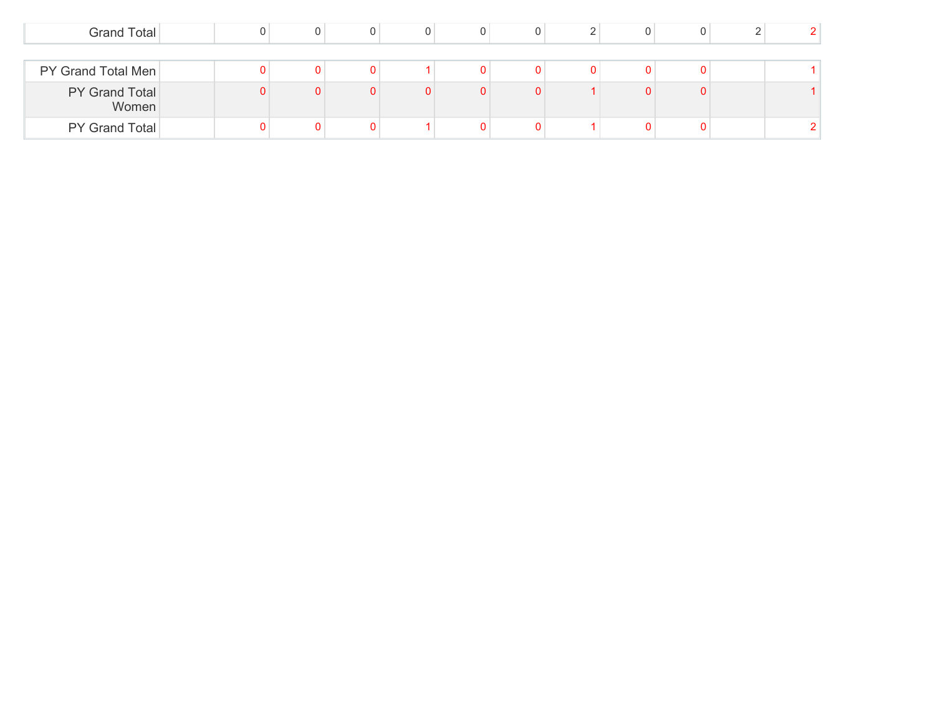| Grand Total             |  |  |   |  | 0 |  |  |
|-------------------------|--|--|---|--|---|--|--|
|                         |  |  |   |  |   |  |  |
| PY Grand Total Men      |  |  |   |  |   |  |  |
| PY Grand Total<br>Women |  |  | O |  | 0 |  |  |
| PY Grand Total          |  |  |   |  |   |  |  |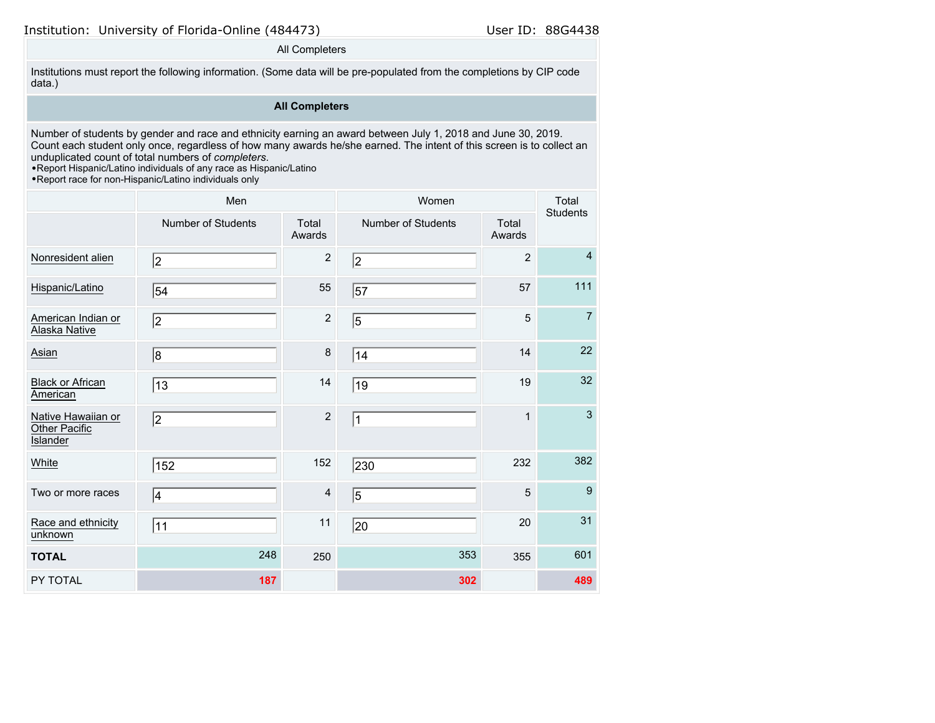### All Completers

Institutions must report the following information. (Some data will be pre-populated from the completions by CIP code data.)

# **All Completers**

Number of students by gender and race and ethnicity earning an award between July 1, 2018 and June 30, 2019. Count each student only once, regardless of how many awards he/she earned. The intent of this screen is to collect an unduplicated count of total numbers of *completers*.

•Report Hispanic/Latino individuals of any race as Hispanic/Latino

•Report race for non-Hispanic/Latino individuals only

|                                                 | Men                       |                         | Women                     |                 | Total<br><b>Students</b> |
|-------------------------------------------------|---------------------------|-------------------------|---------------------------|-----------------|--------------------------|
|                                                 | <b>Number of Students</b> | Total<br>Awards         | <b>Number of Students</b> | Total<br>Awards |                          |
| Nonresident alien                               | 2                         | $\overline{2}$          | 2                         | $\overline{2}$  | $\overline{4}$           |
| Hispanic/Latino                                 | 54                        | 55                      | 57                        | 57              | 111                      |
| American Indian or<br>Alaska Native             | 2                         | $\sqrt{2}$              | 5                         | 5               | $\overline{7}$           |
| Asian                                           | 8                         | 8                       | 14                        | 14              | 22                       |
| <b>Black or African</b><br>American             | 13                        | 14                      | 19                        | 19              | 32                       |
| Native Hawaiian or<br>Other Pacific<br>Islander | 2                         | $\overline{2}$          | $\mathbf{1}$              | $\mathbf{1}$    | $\mathbf{3}$             |
| White                                           | 152                       | 152                     | 230                       | 232             | 382                      |
| Two or more races                               | 4                         | $\overline{\mathbf{4}}$ | $\overline{5}$            | 5               | 9                        |
| Race and ethnicity<br>unknown                   | 11                        | 11                      | 20                        | 20              | 31                       |
| <b>TOTAL</b>                                    | 248                       | 250                     | 353                       | 355             | 601                      |
| PY TOTAL                                        | 187                       |                         | 302                       |                 | 489                      |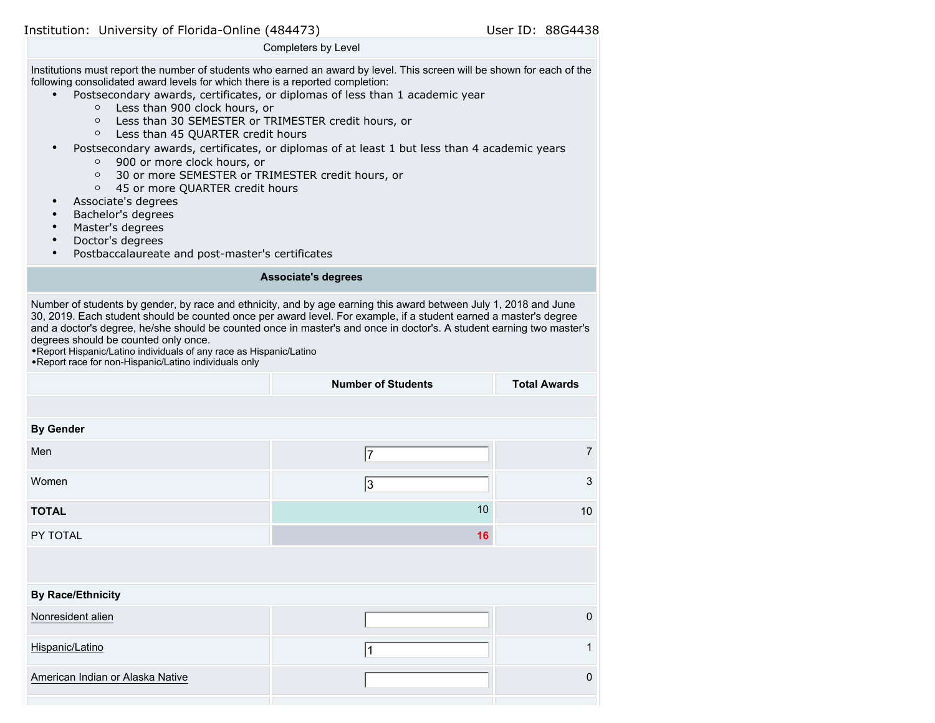Completers by Level

Institutions must report the number of students who earned an award by level. This screen will be shown for each of the following consolidated award levels for which there is a reported completion:

- Postsecondary awards, certificates, or diplomas of less than 1 academic year
	- Less than 900 clock hours, or
	- Less than 30 SEMESTER or TRIMESTER credit hours, or
	- Less than 45 QUARTER credit hours
- Postsecondary awards, certificates, or diplomas of at least 1 but less than 4 academic years
	- 900 or more clock hours, or
	- 30 or more SEMESTER or TRIMESTER credit hours, or
	- 45 or more QUARTER credit hours
- Associate's degrees
- Bachelor's degrees
- Master's degrees
- Doctor's degrees
- Postbaccalaureate and post-master's certificates

#### **Associate's degrees**

Number of students by gender, by race and ethnicity, and by age earning this award between July 1, 2018 and June 30, 2019. Each student should be counted once per award level. For example, if a student earned a master's degree and a doctor's degree, he/she should be counted once in master's and once in doctor's. A student earning two master's degrees should be counted only once.

•Report Hispanic/Latino individuals of any race as Hispanic/Latino

| • Report race for non-Hispanic/Latino individuals only |  |
|--------------------------------------------------------|--|
|--------------------------------------------------------|--|

|                                  | <b>Number of Students</b> | <b>Total Awards</b> |
|----------------------------------|---------------------------|---------------------|
|                                  |                           |                     |
| <b>By Gender</b>                 |                           |                     |
| Men                              | 17                        | $\overline{7}$      |
| Women                            | 3                         | $\mathfrak{S}$      |
| <b>TOTAL</b>                     | 10                        | $10$                |
| PY TOTAL                         | 16                        |                     |
|                                  |                           |                     |
| <b>By Race/Ethnicity</b>         |                           |                     |
| Nonresident alien                |                           | $\mathbf 0$         |
| Hispanic/Latino                  |                           | $\mathbf{1}$        |
| American Indian or Alaska Native |                           | $\pmb{0}$           |
|                                  |                           |                     |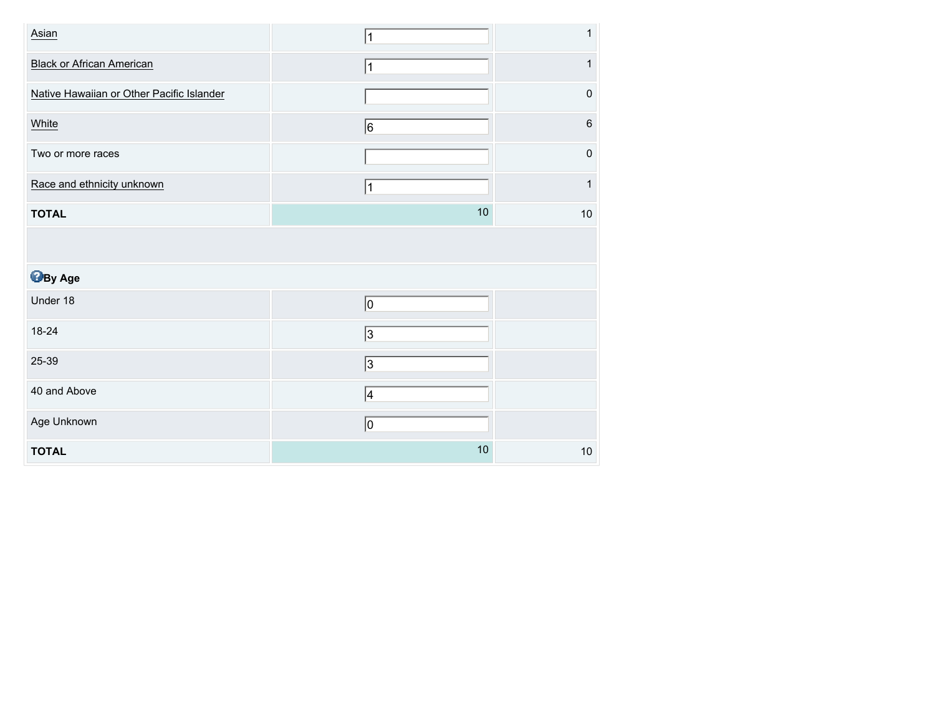| Asian                                     | 1          | 1         |
|-------------------------------------------|------------|-----------|
| <b>Black or African American</b>          | 1          | 1         |
| Native Hawaiian or Other Pacific Islander |            | $\pmb{0}$ |
| White                                     | 6          | $\,6\,$   |
| Two or more races                         |            | $\pmb{0}$ |
| Race and ethnicity unknown                | 11         | 1         |
| <b>TOTAL</b>                              | 10         | $10$      |
|                                           |            |           |
| <b>B</b> By Age                           |            |           |
| Under 18                                  | 0          |           |
| 18-24                                     | 3          |           |
| 25-39                                     | $\sqrt{3}$ |           |
| 40 and Above                              | 4          |           |
| Age Unknown                               | 0          |           |
| <b>TOTAL</b>                              | 10         | $10$      |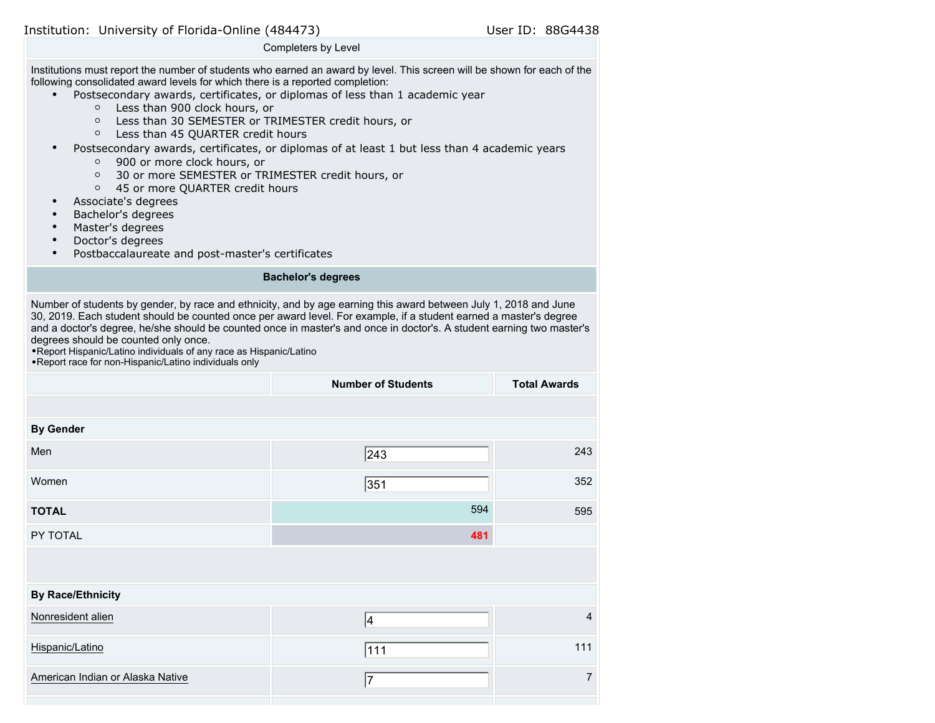Completers by Level

Institutions must report the number of students who earned an award by level. This screen will be shown for each of the following consolidated award levels for which there is a reported completion:

- Postsecondary awards, certificates, or diplomas of less than 1 academic year
	- Less than 900 clock hours, or
	- Less than 30 SEMESTER or TRIMESTER credit hours, or
	- Less than 45 QUARTER credit hours
- Postsecondary awards, certificates, or diplomas of at least 1 but less than 4 academic years
	- 900 or more clock hours, or
	- 30 or more SEMESTER or TRIMESTER credit hours, or
	- 45 or more QUARTER credit hours
- Associate's degrees
- Bachelor's degrees
- Master's degrees
- Doctor's degrees
- Postbaccalaureate and post-master's certificates

#### **Bachelor's degrees**

Number of students by gender, by race and ethnicity, and by age earning this award between July 1, 2018 and June 30, 2019. Each student should be counted once per award level. For example, if a student earned a master's degree and a doctor's degree, he/she should be counted once in master's and once in doctor's. A student earning two master's degrees should be counted only once.

•Report Hispanic/Latino individuals of any race as Hispanic/Latino •Report race for non-Hispanic/Latino individuals only

|                                  | <b>Number of Students</b> | <b>Total Awards</b> |
|----------------------------------|---------------------------|---------------------|
|                                  |                           |                     |
| <b>By Gender</b>                 |                           |                     |
| Men                              | 243                       | 243                 |
| Women                            | 351                       | 352                 |
| <b>TOTAL</b>                     | 594                       | 595                 |
| PY TOTAL                         | 481                       |                     |
|                                  |                           |                     |
| <b>By Race/Ethnicity</b>         |                           |                     |
| Nonresident alien                | 4                         | $\overline{4}$      |
| Hispanic/Latino                  | 111                       | 111                 |
| American Indian or Alaska Native | 7                         | 7                   |
|                                  |                           |                     |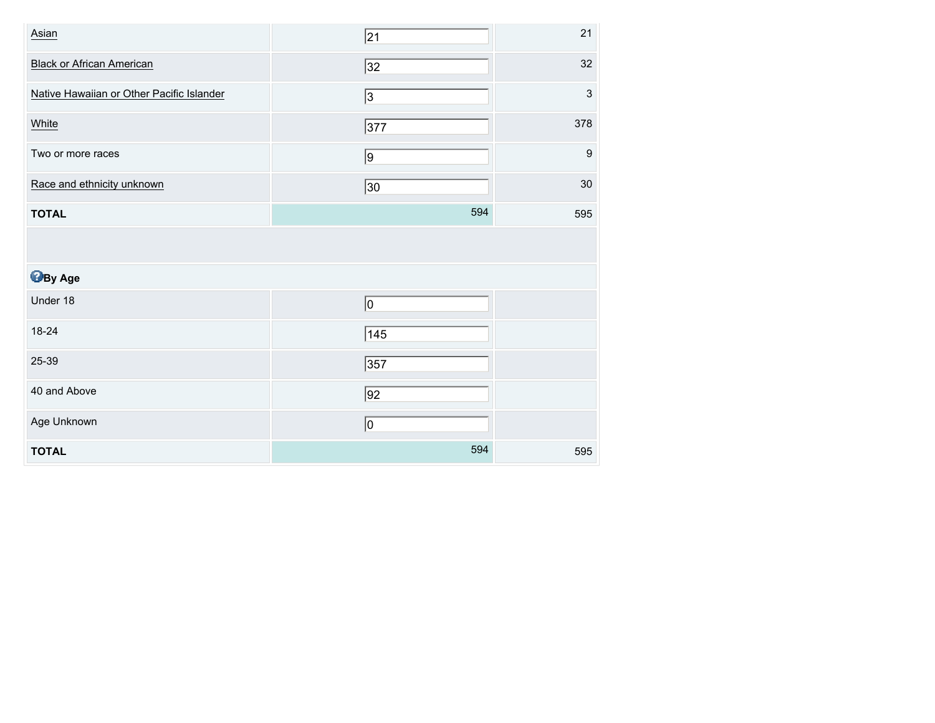| Asian                                     | 21           | 21                        |
|-------------------------------------------|--------------|---------------------------|
| <b>Black or African American</b>          | 32           | 32                        |
| Native Hawaiian or Other Pacific Islander | 3            | $\ensuremath{\mathsf{3}}$ |
| White                                     | 377          | 378                       |
| Two or more races                         | 9            | $\boldsymbol{9}$          |
| Race and ethnicity unknown                | $ 30\rangle$ | 30                        |
| <b>TOTAL</b>                              | 594          | 595                       |
|                                           |              |                           |
|                                           |              |                           |
| <b>B</b> By Age                           |              |                           |
| Under 18                                  | 0            |                           |
| 18-24                                     | 145          |                           |
| 25-39                                     | 357          |                           |
| 40 and Above                              | $\sqrt{92}$  |                           |
| Age Unknown                               | 0            |                           |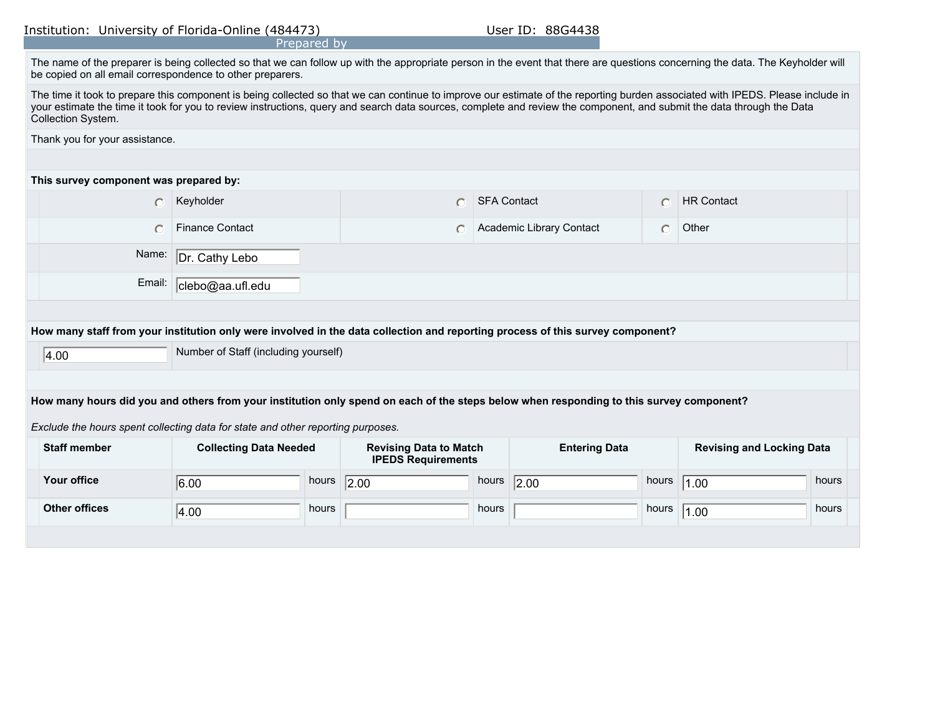| Prepared by |  |
|-------------|--|
|-------------|--|

| The name of the preparer is being collected so that we can follow up with the appropriate person in the event that there are questions concerning the data. The Keyholder will |  |
|--------------------------------------------------------------------------------------------------------------------------------------------------------------------------------|--|
| be copied on all email correspondence to other preparers.                                                                                                                      |  |

| The time it took to prepare this component is being collected so that we can continue to improve our estimate of the reporting burden associated with IPEDS. Please include in |
|--------------------------------------------------------------------------------------------------------------------------------------------------------------------------------|
| your estimate the time it took for you to review instructions, query and search data sources, complete and review the component, and submit the data through the Data          |
| Collection System.                                                                                                                                                             |

Thank you for your assistance.

### **This survey component was prepared by:**

|                                                                                                                                |                                              | Keyholder                 |  | <b>SFA Contact</b>       |  | <b>HR Contact</b> |  |  |
|--------------------------------------------------------------------------------------------------------------------------------|----------------------------------------------|---------------------------|--|--------------------------|--|-------------------|--|--|
|                                                                                                                                |                                              | <b>Finance Contact</b>    |  | Academic Library Contact |  | Other             |  |  |
|                                                                                                                                |                                              | Name: Dr. Cathy Lebo      |  |                          |  |                   |  |  |
|                                                                                                                                |                                              | Email:   clebo@aa.ufl.edu |  |                          |  |                   |  |  |
|                                                                                                                                |                                              |                           |  |                          |  |                   |  |  |
| How many staff from your institution only were involved in the data collection and reporting process of this survey component? |                                              |                           |  |                          |  |                   |  |  |
|                                                                                                                                | Number of Staff (including yourself)<br> 400 |                           |  |                          |  |                   |  |  |

4.00

## **How many hours did you and others from your institution only spend on each of the steps below when responding to this survey component?**

*Exclude the hours spent collecting data for state and other reporting purposes.*

| <b>Staff member</b>  | <b>Collecting Data Needed</b> |       | <b>Revising Data to Match</b><br><b>IPEDS Requirements</b> |       | <b>Entering Data</b> |       | <b>Revising and Locking Data</b> |       |
|----------------------|-------------------------------|-------|------------------------------------------------------------|-------|----------------------|-------|----------------------------------|-------|
| <b>Your office</b>   | 6.00                          | hours | 2.00                                                       | hours | 2.00                 | hours | 1.00                             | hours |
| <b>Other offices</b> | 4.00                          | hours |                                                            | hours |                      | hours | 1.00                             | hours |
|                      |                               |       |                                                            |       |                      |       |                                  |       |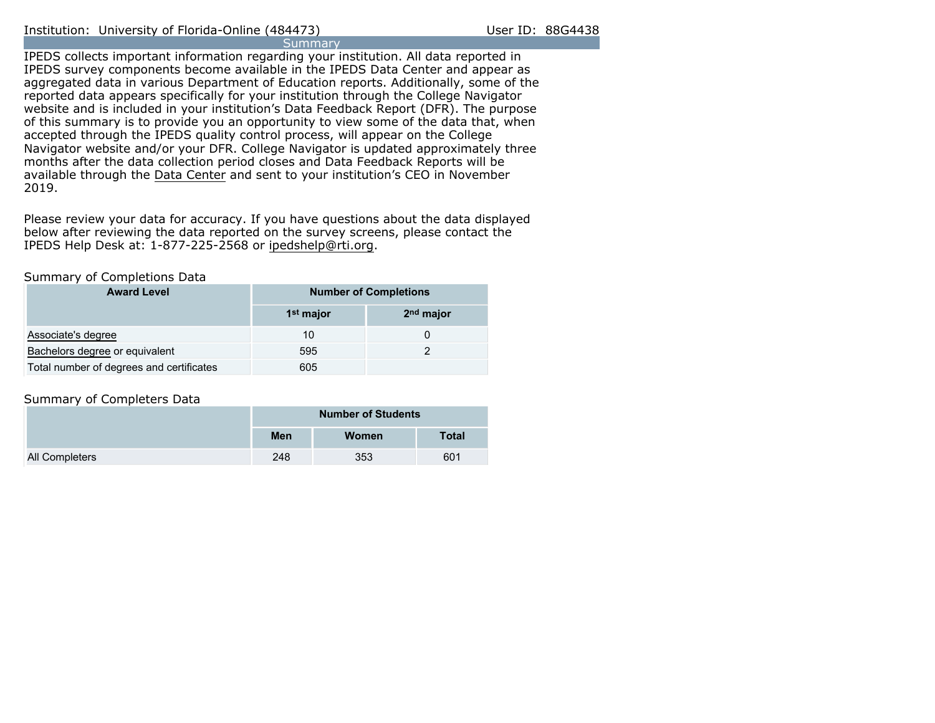IPEDS collects important information regarding your institution. All data reported in IPEDS survey components become available in the IPEDS Data Center and appear as aggregated data in various Department of Education reports. Additionally, some of the reported data appears specifically for your institution through the College Navigator website and is included in your institution's Data Feedback Report (DFR). The purpose of this summary is to provide you an opportunity to view some of the data that, when accepted through the IPEDS quality control process, will appear on the College Navigator website and/or your DFR. College Navigator is updated approximately three months after the data collection period closes and Data Feedback Reports will be available through the [Data Center](https://nces.ed.gov/ipeds/use-the-data) and sent to your institution's CEO in November 2019.

Please review your data for accuracy. If you have questions about the data displayed below after reviewing the data reported on the survey screens, please contact the IPEDS Help Desk at: 1-877-225-2568 or ipedshelp@rti.org.

### Summary of Completions Data

| <b>Award Level</b>                       | <b>Number of Completions</b> |                       |  |  |  |
|------------------------------------------|------------------------------|-----------------------|--|--|--|
|                                          | 1 <sup>st</sup> major        | 2 <sup>nd</sup> major |  |  |  |
| Associate's degree                       | 10                           |                       |  |  |  |
| Bachelors degree or equivalent           | 595                          |                       |  |  |  |
| Total number of degrees and certificates | 605                          |                       |  |  |  |

# Summary of Completers Data

|                       | <b>Number of Students</b> |              |              |  |  |
|-----------------------|---------------------------|--------------|--------------|--|--|
|                       | Men                       | <b>Women</b> | <b>Total</b> |  |  |
| <b>All Completers</b> | 248                       | 353          | 601          |  |  |